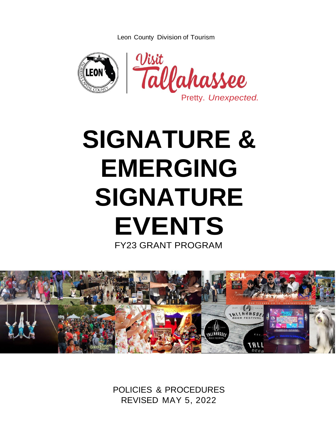Leon County Division of Tourism



# **SIGNATURE & EMERGING SIGNATURE EVENTS** FY23 GRANT PROGRAM



POLICIES & PROCEDURES REVISED MAY 5, 2022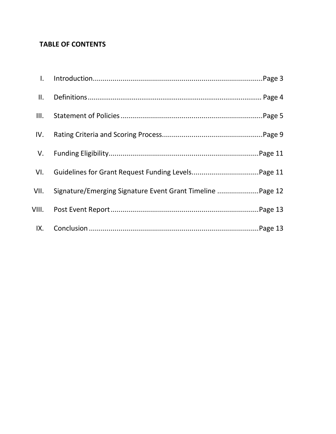# **TABLE OF CONTENTS**

| $\mathbf{II}$ . |                                                           |
|-----------------|-----------------------------------------------------------|
| III.            |                                                           |
| IV.             |                                                           |
|                 |                                                           |
| VI.             |                                                           |
| VII.            | Signature/Emerging Signature Event Grant Timeline Page 12 |
| VIII.           |                                                           |
| IX.             |                                                           |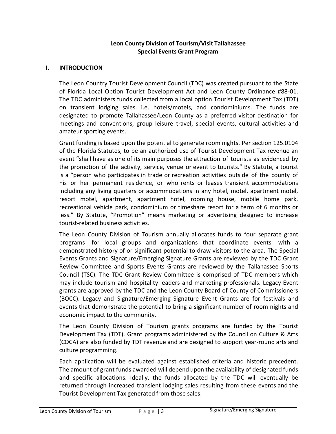# **Leon County Division of Tourism/Visit Tallahassee Special Events Grant Program**

## **I. INTRODUCTION**

The Leon Country Tourist Development Council (TDC) was created pursuant to the State of Florida Local Option Tourist Development Act and Leon County Ordinance #88-01. The TDC administers funds collected from a local option Tourist Development Tax (TDT) on transient lodging sales. i.e. hotels/motels, and condominiums. The funds are designated to promote Tallahassee/Leon County as a preferred visitor destination for meetings and conventions, group leisure travel, special events, cultural activities and amateur sporting events.

Grant funding is based upon the potential to generate room nights. Per section 125.0104 of the Florida Statutes, to be an authorized use of Tourist Development Tax revenue an event "shall have as one of its main purposes the attraction of tourists as evidenced by the promotion of the activity, service, venue or event to tourists." By Statute, a tourist is a "person who participates in trade or recreation activities outside of the county of his or her permanent residence, or who rents or leases transient accommodations including any living quarters or accommodations in any hotel, motel, apartment motel, resort motel, apartment, apartment hotel, rooming house, mobile home park, recreational vehicle park, condominium or timeshare resort for a term of 6 months or less." By Statute, "Promotion" means marketing or advertising designed to increase tourist-related business activities.

The Leon County Division of Tourism annually allocates funds to four separate grant programs for local groups and organizations that coordinate events with a demonstrated history of or significant potential to draw visitors to the area. The Special Events Grants and Signature/Emerging Signature Grants are reviewed by the TDC Grant Review Committee and Sports Events Grants are reviewed by the Tallahassee Sports Council (TSC). The TDC Grant Review Committee is comprised of TDC members which may include tourism and hospitality leaders and marketing professionals. Legacy Event grants are approved by the TDC and the Leon County Board of County of Commissioners (BOCC). Legacy and Signature/Emerging Signature Event Grants are for festivals and events that demonstrate the potential to bring a significant number of room nights and economic impact to the community.

The Leon County Division of Tourism grants programs are funded by the Tourist Development Tax (TDT). Grant programs administered by the Council on Culture & Arts (COCA) are also funded by TDT revenue and are designed to support year-round arts and culture programming.

Each application will be evaluated against established criteria and historic precedent. The amount of grant funds awarded will depend upon the availability of designated funds and specific allocations. Ideally, the funds allocated by the TDC will eventually be returned through increased transient lodging sales resulting from these events and the Tourist Development Tax generated from those sales.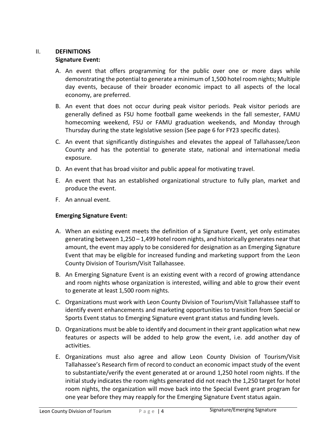# II. **DEFINITIONS**

## **Signature Event:**

- A. An event that offers programming for the public over one or more days while demonstrating the potential to generate a minimum of 1,500 hotel room nights; Multiple day events, because of their broader economic impact to all aspects of the local economy, are preferred.
- B. An event that does not occur during peak visitor periods. Peak visitor periods are generally defined as FSU home football game weekends in the fall semester, FAMU homecoming weekend, FSU or FAMU graduation weekends, and Monday through Thursday during the state legislative session (See page 6 for FY23 specific dates).
- C. An event that significantly distinguishes and elevates the appeal of Tallahassee/Leon County and has the potential to generate state, national and international media exposure.
- D. An event that has broad visitor and public appeal for motivating travel.
- E. An event that has an established organizational structure to fully plan, market and produce the event.
- F. An annual event.

# **Emerging Signature Event:**

- A. When an existing event meets the definition of a Signature Event, yet only estimates generating between 1,250 – 1,499 hotel room nights, and historically generates near that amount, the event may apply to be considered for designation as an Emerging Signature Event that may be eligible for increased funding and marketing support from the Leon County Division of Tourism/Visit Tallahassee.
- B. An Emerging Signature Event is an existing event with a record of growing attendance and room nights whose organization is interested, willing and able to grow their event to generate at least 1,500 room nights.
- C. Organizations must work with Leon County Division of Tourism/Visit Tallahassee staff to identify event enhancements and marketing opportunities to transition from Special or Sports Event status to Emerging Signature event grant status and funding levels.
- D. Organizations must be able to identify and document in their grant application what new features or aspects will be added to help grow the event, i.e. add another day of activities.
- E. Organizations must also agree and allow Leon County Division of Tourism/Visit Tallahassee's Research firm of record to conduct an economic impact study of the event to substantiate/verify the event generated at or around 1,250 hotel room nights. If the initial study indicates the room nights generated did not reach the 1,250 target for hotel room nights, the organization will move back into the Special Event grant program for one year before they may reapply for the Emerging Signature Event status again.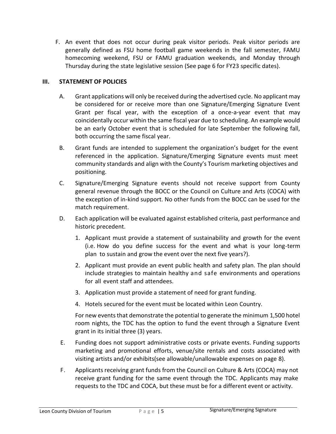F. An event that does not occur during peak visitor periods. Peak visitor periods are generally defined as FSU home football game weekends in the fall semester, FAMU homecoming weekend, FSU or FAMU graduation weekends, and Monday through Thursday during the state legislative session (See page 6 for FY23 specific dates).

## **III. STATEMENT OF POLICIES**

- A. Grant applications will only be received during the advertised cycle. No applicant may be considered for or receive more than one Signature/Emerging Signature Event Grant per fiscal year, with the exception of a once-a-year event that may coincidentally occur within the same fiscal year due to scheduling. An example would be an early October event that is scheduled for late September the following fall, both occurring the same fiscal year.
- B. Grant funds are intended to supplement the organization's budget for the event referenced in the application. Signature/Emerging Signature events must meet community standards and align with the County's Tourism marketing objectives and positioning.
- C. Signature/Emerging Signature events should not receive support from County general revenue through the BOCC or the Council on Culture and Arts (COCA) with the exception of in-kind support. No other funds from the BOCC can be used for the match requirement.
- D. Each application will be evaluated against established criteria, past performance and historic precedent.
	- 1. Applicant must provide a statement of sustainability and growth for the event (i.e. How do you define success for the event and what is your long-term plan to sustain and grow the event over the next five years?).
	- 2. Applicant must provide an event public health and safety plan. The plan should include strategies to maintain healthy and safe environments and operations for all event staff and attendees.
	- 3. Application must provide a statement of need for grant funding.
	- 4. Hotels secured for the event must be located within Leon Country.

For new events that demonstrate the potential to generate the minimum 1,500 hotel room nights, the TDC has the option to fund the event through a Signature Event grant in its initial three (3) years.

- E. Funding does not support administrative costs or private events. Funding supports marketing and promotional efforts, venue/site rentals and costs associated with visiting artists and/or exhibits(see allowable/unallowable expenses on page 8).
- F. Applicants receiving grant funds from the Council on Culture & Arts (COCA) may not receive grant funding for the same event through the TDC. Applicants may make requests to the TDC and COCA, but these must be for a different event or activity.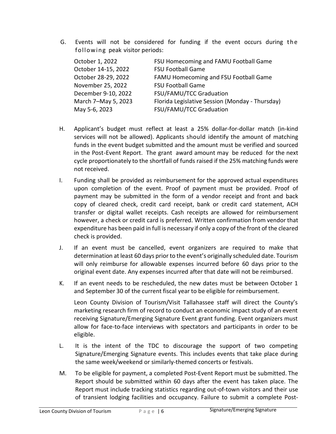G. Events will not be considered for funding if the event occurs during the following peak visitor periods:

| October 1, 2022     | FSU Homecoming and FAMU Football Game           |
|---------------------|-------------------------------------------------|
| October 14-15, 2022 | <b>FSU Football Game</b>                        |
| October 28-29, 2022 | FAMU Homecoming and FSU Football Game           |
| November 25, 2022   | <b>FSU Football Game</b>                        |
| December 9-10, 2022 | FSU/FAMU/TCC Graduation                         |
| March 7-May 5, 2023 | Florida Legislative Session (Monday - Thursday) |
| May 5-6, 2023       | FSU/FAMU/TCC Graduation                         |

- H. Applicant's budget must reflect at least a 25% dollar-for-dollar match (in-kind services will not be allowed). Applicants should identify the amount of matching funds in the event budget submitted and the amount must be verified and sourced in the Post-Event Report. The grant award amount may be reduced for the next cycle proportionately to the shortfall of funds raised if the 25% matching funds were not received.
- I. Funding shall be provided as reimbursement for the approved actual expenditures upon completion of the event. Proof of payment must be provided. Proof of payment may be submitted in the form of a vendor receipt and front and back copy of cleared check, credit card receipt, bank or credit card statement, ACH transfer or digital wallet receipts. Cash receipts are allowed for reimbursement however, a check or credit card is preferred. Written confirmation from vendor that expenditure has been paid in full is necessary if only a copy of the front of the cleared check is provided.
- J. If an event must be cancelled, event organizers are required to make that determination at least 60 days prior to the event's originally scheduled date. Tourism will only reimburse for allowable expenses incurred before 60 days prior to the original event date. Any expenses incurred after that date will not be reimbursed.
- K. If an event needs to be rescheduled, the new dates must be between October 1 and September 30 of the current fiscal year to be eligible for reimbursement.

Leon County Division of Tourism/Visit Tallahassee staff will direct the County's marketing research firm of record to conduct an economic impact study of an event receiving Signature/Emerging Signature Event grant funding. Event organizers must allow for face-to-face interviews with spectators and participants in order to be eligible.

- L. It is the intent of the TDC to discourage the support of two competing Signature/Emerging Signature events. This includes events that take place during the same week/weekend or similarly-themed concerts or festivals.
- M. To be eligible for payment, a completed Post-Event Report must be submitted. The Report should be submitted within 60 days after the event has taken place. The Report must include tracking statistics regarding out-of-town visitors and their use of transient lodging facilities and occupancy. Failure to submit a complete Post-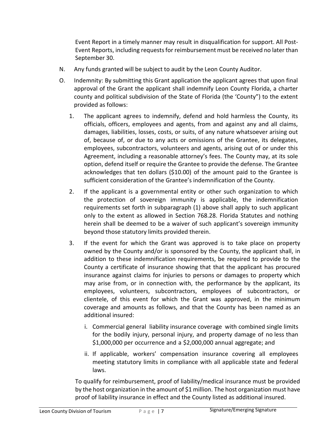Event Report in a timely manner may result in disqualification for support. All Post-Event Reports, including requestsfor reimbursement must be received no later than September 30.

- N. Any funds granted will be subject to audit by the Leon County Auditor.
- O. Indemnity: By submitting this Grant application the applicant agrees that upon final approval of the Grant the applicant shall indemnify Leon County Florida, a charter county and political subdivision of the State of Florida (the 'County") to the extent provided as follows:
	- 1. The applicant agrees to indemnify, defend and hold harmless the County, its officials, officers, employees and agents, from and against any and all claims, damages, liabilities, losses, costs, or suits, of any nature whatsoever arising out of, because of, or due to any acts or omissions of the Grantee, its delegates, employees, subcontractors, volunteers and agents, arising out of or under this Agreement, including a reasonable attorney's fees. The County may, at its sole option, defend itself or require the Grantee to provide the defense. The Grantee acknowledges that ten dollars (\$10.00) of the amount paid to the Grantee is sufficient consideration of the Grantee's indemnification of the County.
	- 2. If the applicant is a governmental entity or other such organization to which the protection of sovereign immunity is applicable, the indemnification requirements set forth in subparagraph (1) above shall apply to such applicant only to the extent as allowed in Section 768.28. Florida Statutes and nothing herein shall be deemed to be a waiver of such applicant's sovereign immunity beyond those statutory limits provided therein.
	- 3. If the event for which the Grant was approved is to take place on property owned by the County and/or is sponsored by the County, the applicant shall, in addition to these indemnification requirements, be required to provide to the County a certificate of insurance showing that that the applicant has procured insurance against claims for injuries to persons or damages to property which may arise from, or in connection with, the performance by the applicant, its employees, volunteers, subcontractors, employees of subcontractors, or clientele, of this event for which the Grant was approved, in the minimum coverage and amounts as follows, and that the County has been named as an additional insured:
		- i. Commercial general liability insurance coverage with combined single limits for the bodily injury, personal injury, and property damage of no less than \$1,000,000 per occurrence and a \$2,000,000 annual aggregate; and
		- ii. If applicable, workers' compensation insurance covering all employees meeting statutory limits in compliance with all applicable state and federal laws.

To qualify for reimbursement, proof of liability/medical insurance must be provided by the host organization in the amount of \$1 million. The host organization must have proof of liability insurance in effect and the County listed as additional insured.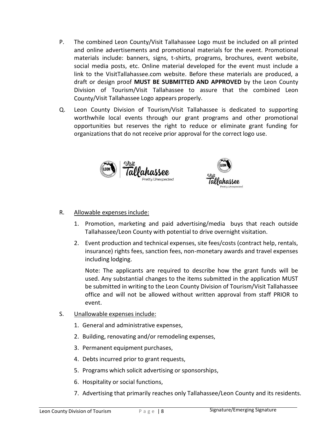- P. The combined Leon County/Visit Tallahassee Logo must be included on all printed and online advertisements and promotional materials for the event. Promotional materials include: banners, signs, t-shirts, programs, brochures, event website, social media posts, etc. Online material developed for the event must include a link to the VisitTallahassee.com website. Before these materials are produced, a draft or design proof **MUST BE SUBMITTED AND APPROVED** by the Leon County Division of Tourism/Visit Tallahassee to assure that the combined Leon County/Visit Tallahassee Logo appears properly.
- Q. Leon County Division of Tourism/Visit Tallahassee is dedicated to supporting worthwhile local events through our grant programs and other promotional opportunities but reserves the right to reduce or eliminate grant funding for organizations that do not receive prior approval for the correct logo use.





## R. Allowable expensesinclude:

- 1. Promotion, marketing and paid advertising/media buys that reach outside Tallahassee/Leon County with potential to drive overnight visitation.
- 2. Event production and technical expenses, site fees/costs (contract help, rentals, insurance) rights fees, sanction fees, non-monetary awards and travel expenses including lodging.

Note: The applicants are required to describe how the grant funds will be used. Any substantial changes to the items submitted in the application MUST be submitted in writing to the Leon County Division of Tourism/Visit Tallahassee office and will not be allowed without written approval from staff PRIOR to event.

- S. Unallowable expenses include:
	- 1. General and administrative expenses,
	- 2. Building, renovating and/or remodeling expenses,
	- 3. Permanent equipment purchases,
	- 4. Debts incurred prior to grant requests,
	- 5. Programs which solicit advertising or sponsorships,
	- 6. Hospitality or social functions,
	- 7. Advertising that primarily reaches only Tallahassee/Leon County and its residents.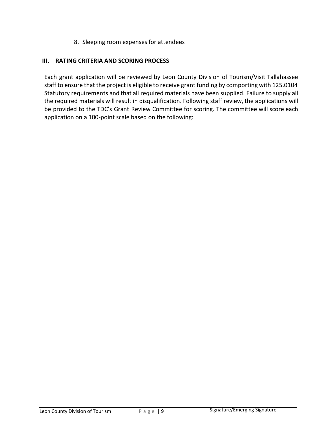8. Sleeping room expenses for attendees

## **III. RATING CRITERIA AND SCORING PROCESS**

Each grant application will be reviewed by Leon County Division of Tourism/Visit Tallahassee staff to ensure that the project is eligible to receive grant funding by comporting with 125.0104 Statutory requirements and that all required materials have been supplied. Failure to supply all the required materials will result in disqualification. Following staff review, the applications will be provided to the TDC's Grant Review Committee for scoring. The committee will score each application on a 100-point scale based on the following: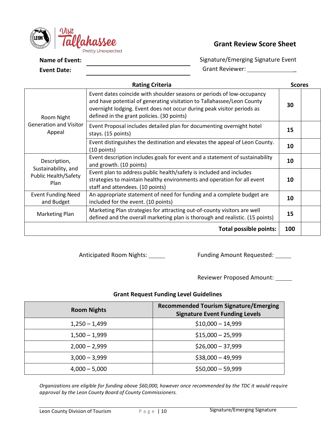

# **Grant Review Score Sheet**

**Name of Event:** 

**Event Date:**

Signature/Emerging Signature Event Grant Reviewer: \_\_\_\_\_\_\_\_\_\_\_\_\_\_\_\_\_\_\_

| <b>Rating Criteria</b>                  |                                                                                                                                                                                                                                                                          |     |  |  |
|-----------------------------------------|--------------------------------------------------------------------------------------------------------------------------------------------------------------------------------------------------------------------------------------------------------------------------|-----|--|--|
| Room Night                              | Event dates coincide with shoulder seasons or periods of low-occupancy<br>and have potential of generating visitation to Tallahassee/Leon County<br>overnight lodging. Event does not occur during peak visitor periods as<br>defined in the grant policies. (30 points) | 30  |  |  |
| <b>Generation and Visitor</b><br>Appeal | Event Proposal includes detailed plan for documenting overnight hotel<br>stays. (15 points)                                                                                                                                                                              | 15  |  |  |
|                                         | Event distinguishes the destination and elevates the appeal of Leon County.<br>$(10$ points)                                                                                                                                                                             | 10  |  |  |
| Description,<br>Sustainability, and     | Event description includes goals for event and a statement of sustainability<br>and growth. (10 points)                                                                                                                                                                  | 10  |  |  |
| <b>Public Health/Safety</b><br>Plan     | Event plan to address public health/safety is included and includes<br>strategies to maintain healthy environments and operation for all event<br>staff and attendees. (10 points)                                                                                       | 10  |  |  |
| <b>Event Funding Need</b><br>and Budget | An appropriate statement of need for funding and a complete budget are<br>included for the event. (10 points)                                                                                                                                                            | 10  |  |  |
| Marketing Plan                          | Marketing Plan strategies for attracting out-of-county visitors are well<br>defined and the overall marketing plan is thorough and realistic. (15 points)                                                                                                                | 15  |  |  |
|                                         | <b>Total possible points:</b>                                                                                                                                                                                                                                            | 100 |  |  |

Anticipated Room Nights: \_\_\_\_\_\_ Funding Amount Requested: \_\_\_\_\_

Reviewer Proposed Amount:

## **Grant Request Funding Level Guidelines**

| <b>Room Nights</b> | <b>Recommended Tourism Signature/Emerging</b><br><b>Signature Event Funding Levels</b> |
|--------------------|----------------------------------------------------------------------------------------|
| $1,250 - 1,499$    | $$10,000 - 14,999$                                                                     |
| $1,500 - 1,999$    | $$15,000 - 25,999$                                                                     |
| $2,000 - 2,999$    | $$26,000 - 37,999$                                                                     |
| $3,000 - 3,999$    | $$38,000 - 49,999$                                                                     |
| $4,000 - 5,000$    | $$50,000 - 59,999$                                                                     |

*Organizations are eligible for funding above \$60,000, however once recommended by the TDC it would require approval by the Leon County Board of County Commissioners.*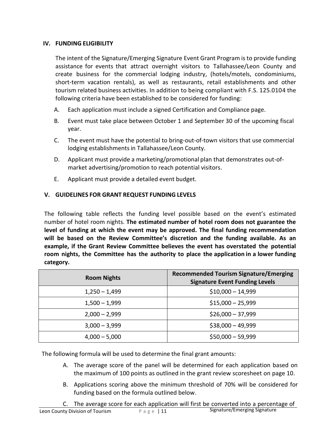# **IV. FUNDING ELIGIBILITY**

The intent of the Signature/Emerging Signature Event Grant Program is to provide funding assistance for events that attract overnight visitors to Tallahassee/Leon County and create business for the commercial lodging industry, (hotels/motels, condominiums, short-term vacation rentals), as well as restaurants, retail establishments and other tourism related business activities. In addition to being compliant with F.S. 125.0104 the following criteria have been established to be considered for funding:

- A. Each application must include a signed Certification and Compliance page.
- B. Event must take place between October 1 and September 30 of the upcoming fiscal year.
- C. The event must have the potential to bring-out-of-town visitors that use commercial lodging establishments in Tallahassee/Leon County.
- D. Applicant must provide a marketing/promotional plan that demonstrates out-ofmarket advertising/promotion to reach potential visitors.
- E. Applicant must provide a detailed event budget.

# **V. GUIDELINES FOR GRANT REQUEST FUNDING LEVELS**

The following table reflects the funding level possible based on the event's estimated number of hotel room nights. **The estimated number of hotel room does not guarantee the level of funding at which the event may be approved. The final funding recommendation will be based on the Review Committee's discretion and the funding available. As an example, if the Grant Review Committee believes the event has overstated the potential room nights, the Committee has the authority to place the application in a lower funding category.**

| <b>Room Nights</b> | <b>Recommended Tourism Signature/Emerging</b><br><b>Signature Event Funding Levels</b> |
|--------------------|----------------------------------------------------------------------------------------|
| $1,250 - 1,499$    | $$10,000 - 14,999$                                                                     |
| $1,500 - 1,999$    | $$15,000 - 25,999$                                                                     |
| $2,000 - 2,999$    | $$26,000 - 37,999$                                                                     |
| $3,000 - 3,999$    | $$38,000 - 49,999$                                                                     |
| $4,000 - 5,000$    | $$50,000 - 59,999$                                                                     |

The following formula will be used to determine the final grant amounts:

- A. The average score of the panel will be determined for each application based on the maximum of 100 points as outlined in the grant review scoresheet on page 10.
- B. Applications scoring above the minimum threshold of 70% will be considered for funding based on the formula outlined below.
- Leon County Division of Tourism P a g e | 11 Signature/Emerging Signature C. The average score for each application will first be converted into a percentage of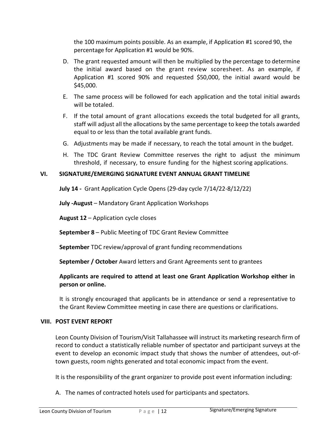the 100 maximum points possible. As an example, if Application #1 scored 90, the percentage for Application #1 would be 90%.

- D. The grant requested amount will then be multiplied by the percentage to determine the initial award based on the grant review scoresheet. As an example, if Application #1 scored 90% and requested \$50,000, the initial award would be \$45,000.
- E. The same process will be followed for each application and the total initial awards will be totaled.
- F. If the total amount of grant allocations exceeds the total budgeted for all grants, staff will adjust all the allocations by the same percentage to keep the totals awarded equal to or less than the total available grant funds.
- G. Adjustments may be made if necessary, to reach the total amount in the budget.
- H. The TDC Grant Review Committee reserves the right to adjust the minimum threshold, if necessary, to ensure funding for the highest scoring applications.

## **VI. SIGNATURE/EMERGING SIGNATURE EVENT ANNUAL GRANT TIMELINE**

**July 14 -** Grant Application Cycle Opens (29-day cycle 7/14/22-8/12/22)

**July -August** – Mandatory Grant Application Workshops

**August 12** – Application cycle closes

**September 8** – Public Meeting of TDC Grant Review Committee

**September** TDC review/approval of grant funding recommendations

**September / October** Award letters and Grant Agreements sent to grantees

## **Applicants are required to attend at least one Grant Application Workshop either in person or online.**

It is strongly encouraged that applicants be in attendance or send a representative to the Grant Review Committee meeting in case there are questions or clarifications.

### **VIII. POST EVENT REPORT**

Leon County Division of Tourism/Visit Tallahassee will instruct its marketing research firm of record to conduct a statistically reliable number of spectator and participant surveys at the event to develop an economic impact study that shows the number of attendees, out-oftown guests, room nights generated and total economic impact from the event.

It is the responsibility of the grant organizer to provide post event information including:

A. The names of contracted hotels used for participants and spectators.